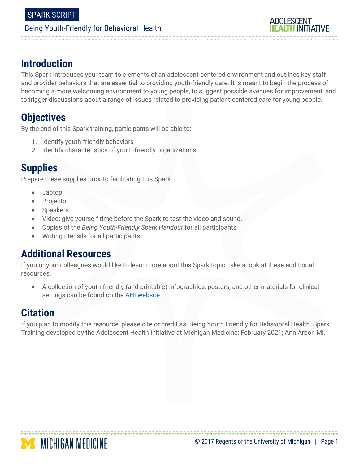

# **Introduction**

This Spark introduces your team to elements of an adolescent-centered environment and outlines key staff and provider behaviors that are essential to providing youth-friendly care. It is meant to begin the process of becoming a more welcoming environment to young people, to suggest possible avenues for improvement, and to trigger discussions about a range of issues related to providing patient-centered care for young people.

# **Objectives**

By the end of this Spark training, participants will be able to:

- 1. Identify youth-friendly behaviors
- 2. Identify characteristics of youth-friendly organizations

# **Supplies**

Prepare these supplies prior to facilitating this Spark.

- Laptop
- Projector
- Speakers
- Video: give yourself time before the Spark to test the video and sound.
- Copies of the *Being Youth-Friendly Spark Handout* for all participants
- Writing utensils for all participants

## **Additional Resources**

If you or your colleagues would like to learn more about this Spark topic, take a look at these additional resources.

 A collection of youth-friendly (and printable) infographics, posters, and other materials for clinical settings can be found on the **AHI website**.

# **Citation**

If you plan to modify this resource, please cite or credit as: Being Youth Friendly for Behavioral Health. Spark Training developed by the Adolescent Health Initiative at Michigan Medicine; February 2021; Ann Arbor, MI.

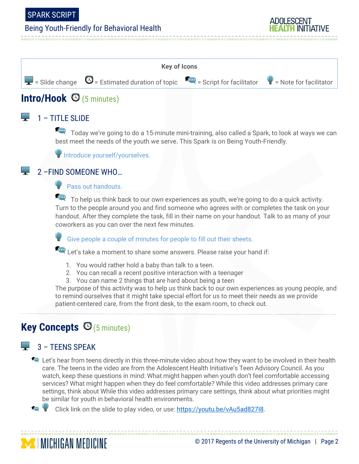#### SPARK SCRIPT

## Being Youth-Friendly for Behavioral Health



# **Intro/Hook** (5 minutes)

#### $1 - TITI$  F SLIDE

Today we're going to do a 15-minute mini-training, also called a Spark, to look at ways we can best meet the needs of the youth we serve. This Spark is on Being Youth-Friendly.

Introduce yourself/yourselves.

#### 2 –FIND SOMEONE WHO…

**Pass out handouts.** 

To help us think back to our own experiences as youth, we're going to do a quick activity. Turn to the people around you and find someone who agrees with or completes the task on your handout. After they complete the task, fill in their name on your handout. Talk to as many of your coworkers as you can over the next few minutes.

Give people a couple of minutes for people to fill out their sheets.

Let's take a moment to share some answers. Please raise your hand if:

- 1. You would rather hold a baby than talk to a teen.
- 2. You can recall a recent positive interaction with a teenager
- 3. You can name 2 things that are hard about being a teen

The purpose of this activity was to help us think back to our own experiences as young people, and to remind ourselves that it might take special effort for us to meet their needs as we provide patient-centered care, from the front desk, to the exam room, to check out.

# **Key Concepts** (5 minutes)

## 3 – TEENS SPEAK

**MICHIGAN MEDICINE** 

**EXECUTE:** Let's hear from teens directly in this three-minute video about how they want to be involved in their health care. The teens in the video are from the Adolescent Health Initiative's Teen Advisory Council. As you watch, keep these questions in mind: What might happen when youth don't feel comfortable accessing services? What might happen when they do feel comfortable? While this video addresses primary care settings, think about While this video addresses primary care settings, think about what priorities might be similar for youth in behavioral health environments.



#### © 2017 Regents of the University of Michigan | Page 2

ADOLESCENT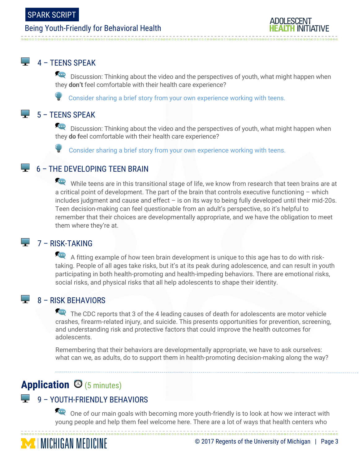

#### $\Box$  4 – TEENS SPEAK

Discussion: Thinking about the video and the perspectives of youth, what might happen when they **don't** feel comfortable with their health care experience?

Consider sharing a brief story from your own experience working with teens.

#### $\overline{\phantom{a}}$  5 – TEENS SPEAK

Discussion: Thinking about the video and the perspectives of youth, what might happen when they **do f**eel comfortable with their health care experience?

Consider sharing a brief story from your own experience working with teens.

#### 6 – THE DEVELOPING TEEN BRAIN

While teens are in this transitional stage of life, we know from research that teen brains are at a critical point of development. The part of the brain that controls executive functioning – which includes judgment and cause and effect – is on its way to being fully developed until their mid-20s. Teen decision-making can feel questionable from an adult's perspective, so it's helpful to remember that their choices are developmentally appropriate, and we have the obligation to meet them where they're at.

#### $\Box$  7 – RISK-TAKING

A fitting example of how teen brain development is unique to this age has to do with risktaking. People of all ages take risks, but it's at its peak during adolescence, and can result in youth participating in both health-promoting and health-impeding behaviors. There are emotional risks, social risks, and physical risks that all help adolescents to shape their identity.

#### $\overline{\phantom{a}}$  8 – RISK BEHAVIORS

The CDC reports that 3 of the 4 leading causes of death for adolescents are motor vehicle crashes, firearm-related injury, and suicide. This presents opportunities for prevention, screening, and understanding risk and protective factors that could improve the health outcomes for adolescents.

Remembering that their behaviors are developmentally appropriate, we have to ask ourselves: what can we, as adults, do to support them in health-promoting decision-making along the way?

# Application  $\Theta$  (5 minutes)

#### 9 – YOUTH-FRIENDLY BEHAVIORS

One of our main goals with becoming more youth-friendly is to look at how we interact with young people and help them feel welcome here. There are a lot of ways that health centers who

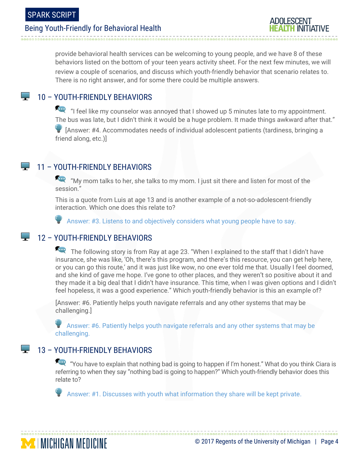

provide behavioral health services can be welcoming to young people, and we have 8 of these behaviors listed on the bottom of your teen years activity sheet. For the next few minutes, we will review a couple of scenarios, and discuss which youth-friendly behavior that scenario relates to. There is no right answer, and for some there could be multiple answers.

#### **10 – YOUTH-FRIENDLY BEHAVIORS**

 "I feel like my counselor was annoyed that I showed up 5 minutes late to my appointment. The bus was late, but I didn't think it would be a huge problem. It made things awkward after that."

 [Answer: #4. Accommodates needs of individual adolescent patients (tardiness, bringing a friend along, etc.)]

## **11 – YOUTH-FRIENDLY BEHAVIORS**

 "My mom talks to her, she talks to my mom. I just sit there and listen for most of the session."

This is a quote from Luis at age 13 and is another example of a not-so-adolescent-friendly interaction. Which one does this relate to?

Answer: #3. Listens to and objectively considers what young people have to say.

#### **12 - YOUTH-FRIENDLY BEHAVIORS**

The following story is from Ray at age 23. "When I explained to the staff that I didn't have insurance, she was like, 'Oh, there's this program, and there's this resource, you can get help here, or you can go this route,' and it was just like wow, no one ever told me that. Usually I feel doomed, and she kind of gave me hope. I've gone to other places, and they weren't so positive about it and they made it a big deal that I didn't have insurance. This time, when I was given options and I didn't feel hopeless, it was a good experience." Which youth-friendly behavior is this an example of?

[Answer: #6. Patiently helps youth navigate referrals and any other systems that may be challenging.]

 Answer: #6. Patiently helps youth navigate referrals and any other systems that may be challenging.

#### 13 – YOUTH-FRIENDLY BEHAVIORS

"You have to explain that nothing bad is going to happen if I'm honest." What do you think Ciara is referring to when they say "nothing bad is going to happen?" Which youth-friendly behavior does this relate to?

Answer: #1. Discusses with youth what information they share will be kept private.